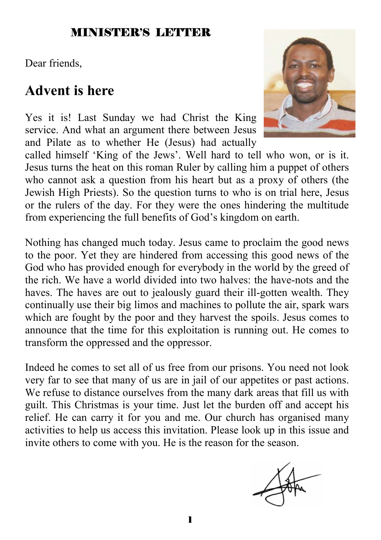#### MINISTER'S LETTER

Dear friends,

### **Advent is here**

Yes it is! Last Sunday we had Christ the King service. And what an argument there between Jesus and Pilate as to whether He (Jesus) had actually



called himself 'King of the Jews'. Well hard to tell who won, or is it. Jesus turns the heat on this roman Ruler by calling him a puppet of others who cannot ask a question from his heart but as a proxy of others (the Jewish High Priests). So the question turns to who is on trial here, Jesus or the rulers of the day. For they were the ones hindering the multitude from experiencing the full benefits of God's kingdom on earth.

Nothing has changed much today. Jesus came to proclaim the good news to the poor. Yet they are hindered from accessing this good news of the God who has provided enough for everybody in the world by the greed of the rich. We have a world divided into two halves: the have-nots and the haves. The haves are out to jealously guard their ill-gotten wealth. They continually use their big limos and machines to pollute the air, spark wars which are fought by the poor and they harvest the spoils. Jesus comes to announce that the time for this exploitation is running out. He comes to transform the oppressed and the oppressor.

Indeed he comes to set all of us free from our prisons. You need not look very far to see that many of us are in jail of our appetites or past actions. We refuse to distance ourselves from the many dark areas that fill us with guilt. This Christmas is your time. Just let the burden off and accept his relief. He can carry it for you and me. Our church has organised many activities to help us access this invitation. Please look up in this issue and invite others to come with you. He is the reason for the season.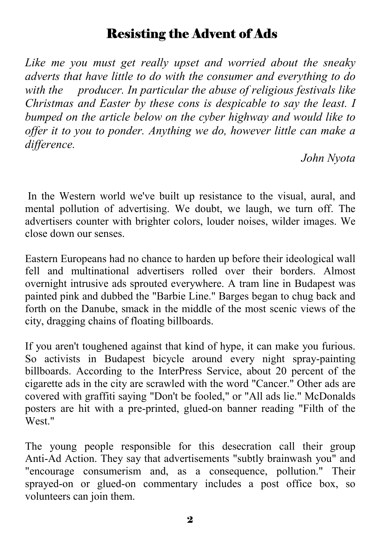# Resisting the Advent of Ads

*Like me you must get really upset and worried about the sneaky adverts that have little to do with the consumer and everything to do with the producer. In particular the abuse of religious festivals like Christmas and Easter by these cons is despicable to say the least. I bumped on the article below on the cyber highway and would like to offer it to you to ponder. Anything we do, however little can make a difference.* 

*John Nyota* 

 In the Western world we've built up resistance to the visual, aural, and mental pollution of advertising. We doubt, we laugh, we turn off. The advertisers counter with brighter colors, louder noises, wilder images. We close down our senses.

Eastern Europeans had no chance to harden up before their ideological wall fell and multinational advertisers rolled over their borders. Almost overnight intrusive ads sprouted everywhere. A tram line in Budapest was painted pink and dubbed the "Barbie Line." Barges began to chug back and forth on the Danube, smack in the middle of the most scenic views of the city, dragging chains of floating billboards.

If you aren't toughened against that kind of hype, it can make you furious. So activists in Budapest bicycle around every night spray-painting billboards. According to the InterPress Service, about 20 percent of the cigarette ads in the city are scrawled with the word "Cancer." Other ads are covered with graffiti saying "Don't be fooled," or "All ads lie." McDonalds posters are hit with a pre-printed, glued-on banner reading "Filth of the West<sup>"</sup>

The young people responsible for this desecration call their group Anti-Ad Action. They say that advertisements "subtly brainwash you" and "encourage consumerism and, as a consequence, pollution." Their sprayed-on or glued-on commentary includes a post office box, so volunteers can join them.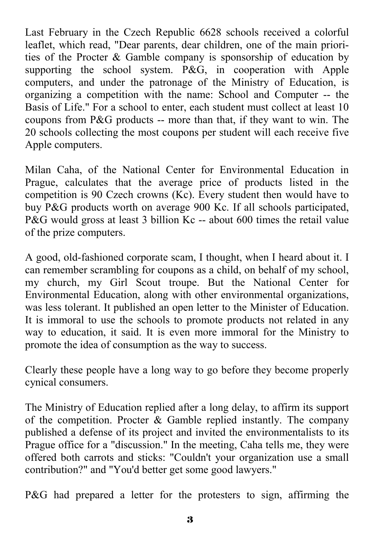Last February in the Czech Republic 6628 schools received a colorful leaflet, which read, "Dear parents, dear children, one of the main priorities of the Procter & Gamble company is sponsorship of education by supporting the school system. P&G, in cooperation with Apple computers, and under the patronage of the Ministry of Education, is organizing a competition with the name: School and Computer -- the Basis of Life." For a school to enter, each student must collect at least 10 coupons from P&G products -- more than that, if they want to win. The 20 schools collecting the most coupons per student will each receive five Apple computers.

Milan Caha, of the National Center for Environmental Education in Prague, calculates that the average price of products listed in the competition is 90 Czech crowns (Kc). Every student then would have to buy P&G products worth on average 900 Kc. If all schools participated, P&G would gross at least 3 billion Kc -- about 600 times the retail value of the prize computers.

A good, old-fashioned corporate scam, I thought, when I heard about it. I can remember scrambling for coupons as a child, on behalf of my school, my church, my Girl Scout troupe. But the National Center for Environmental Education, along with other environmental organizations, was less tolerant. It published an open letter to the Minister of Education. It is immoral to use the schools to promote products not related in any way to education, it said. It is even more immoral for the Ministry to promote the idea of consumption as the way to success.

Clearly these people have a long way to go before they become properly cynical consumers.

The Ministry of Education replied after a long delay, to affirm its support of the competition. Procter  $\&$  Gamble replied instantly. The company published a defense of its project and invited the environmentalists to its Prague office for a "discussion." In the meeting, Caha tells me, they were offered both carrots and sticks: "Couldn't your organization use a small contribution?" and "You'd better get some good lawyers."

P&G had prepared a letter for the protesters to sign, affirming the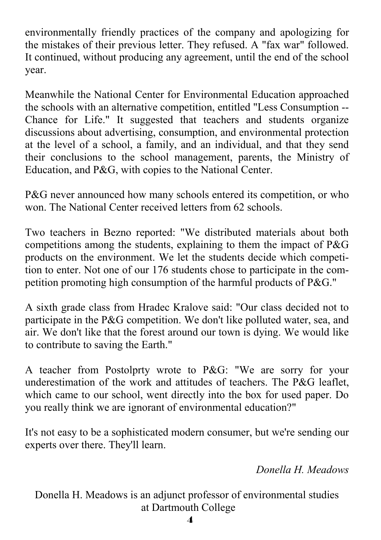environmentally friendly practices of the company and apologizing for the mistakes of their previous letter. They refused. A "fax war" followed. It continued, without producing any agreement, until the end of the school year.

Meanwhile the National Center for Environmental Education approached the schools with an alternative competition, entitled "Less Consumption -- Chance for Life." It suggested that teachers and students organize discussions about advertising, consumption, and environmental protection at the level of a school, a family, and an individual, and that they send their conclusions to the school management, parents, the Ministry of Education, and P&G, with copies to the National Center.

P&G never announced how many schools entered its competition, or who won. The National Center received letters from 62 schools.

Two teachers in Bezno reported: "We distributed materials about both competitions among the students, explaining to them the impact of P&G products on the environment. We let the students decide which competition to enter. Not one of our 176 students chose to participate in the competition promoting high consumption of the harmful products of P&G."

A sixth grade class from Hradec Kralove said: "Our class decided not to participate in the P&G competition. We don't like polluted water, sea, and air. We don't like that the forest around our town is dying. We would like to contribute to saving the Earth."

A teacher from Postolprty wrote to P&G: "We are sorry for your underestimation of the work and attitudes of teachers. The P&G leaflet, which came to our school, went directly into the box for used paper. Do you really think we are ignorant of environmental education?"

It's not easy to be a sophisticated modern consumer, but we're sending our experts over there. They'll learn.

*Donella H. Meadows* 

Donella H. Meadows is an adjunct professor of environmental studies at Dartmouth College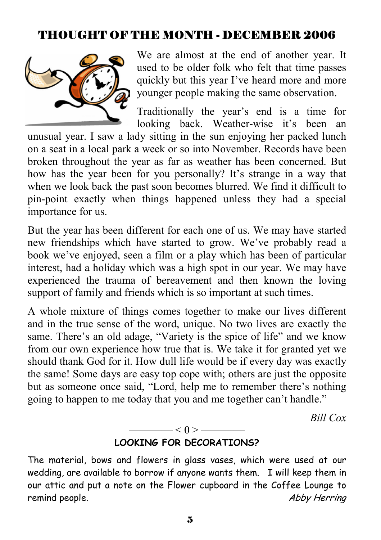#### THOUGHT OF THE MONTH - DECEMBER 2006



We are almost at the end of another year. It used to be older folk who felt that time passes quickly but this year I've heard more and more younger people making the same observation.

Traditionally the year's end is a time for looking back. Weather-wise it's been an

unusual year. I saw a lady sitting in the sun enjoying her packed lunch on a seat in a local park a week or so into November. Records have been broken throughout the year as far as weather has been concerned. But how has the year been for you personally? It's strange in a way that when we look back the past soon becomes blurred. We find it difficult to pin-point exactly when things happened unless they had a special importance for us.

But the year has been different for each one of us. We may have started new friendships which have started to grow. We've probably read a book we've enjoyed, seen a film or a play which has been of particular interest, had a holiday which was a high spot in our year. We may have experienced the trauma of bereavement and then known the loving support of family and friends which is so important at such times.

A whole mixture of things comes together to make our lives different and in the true sense of the word, unique. No two lives are exactly the same. There's an old adage, "Variety is the spice of life" and we know from our own experience how true that is. We take it for granted yet we should thank God for it. How dull life would be if every day was exactly the same! Some days are easy top cope with; others are just the opposite but as someone once said, "Lord, help me to remember there's nothing going to happen to me today that you and me together can't handle."

*Bill Cox* 

#### $-$  < 0 >  $-$ **LOOKING FOR DECORATIONS?**

The material, bows and flowers in glass vases, which were used at our wedding, are available to borrow if anyone wants them. I will keep them in our attic and put a note on the Flower cupboard in the Coffee Lounge to remind people. The contract of the contract of the contract of the Abby Herring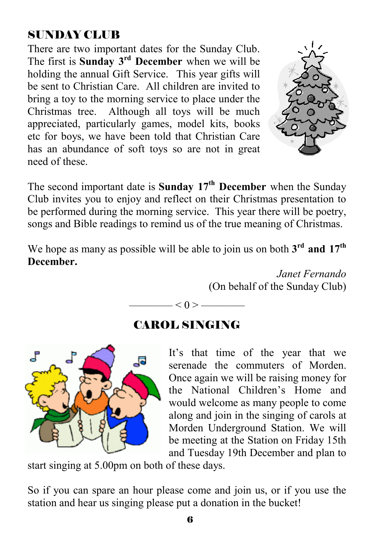### SUNDAY CLUB

There are two important dates for the Sunday Club. The first is **Sunday 3rd December** when we will be holding the annual Gift Service.This year gifts will be sent to Christian Care. All children are invited to bring a toy to the morning service to place under the Christmas tree. Although all toys will be much appreciated, particularly games, model kits, books etc for boys, we have been told that Christian Care has an abundance of soft toys so are not in great need of these.



The second important date is **Sunday 17th December** when the Sunday Club invites you to enjoy and reflect on their Christmas presentation to be performed during the morning service. This year there will be poetry, songs and Bible readings to remind us of the true meaning of Christmas.

We hope as many as possible will be able to join us on both  $3<sup>rd</sup>$  and  $17<sup>th</sup>$ **December.**

 *Janet Fernando*  (On behalf of the Sunday Club)



### CAROL SINGING



It's that time of the year that we serenade the commuters of Morden. Once again we will be raising money for the National Children's Home and would welcome as many people to come along and join in the singing of carols at Morden Underground Station. We will be meeting at the Station on Friday 15th and Tuesday 19th December and plan to

start singing at 5.00pm on both of these days.

So if you can spare an hour please come and join us, or if you use the station and hear us singing please put a donation in the bucket!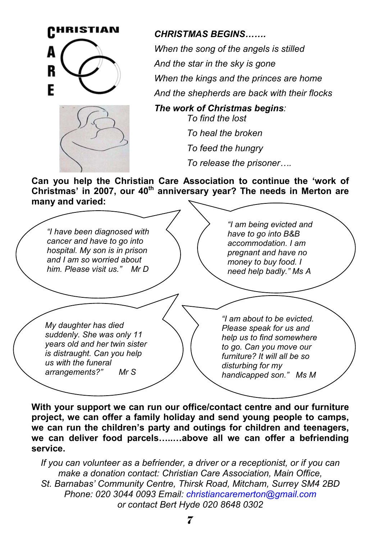**HRISTIAN** Δ R

F



#### *CHRISTMAS BEGINS…….*

*When the song of the angels is stilled And the star in the sky is gone When the kings and the princes are home And the shepherds are back with their flocks* 

*The work of Christmas begins: To find the lost* 

 *To heal the broken* 

 *To feed the hungry* 

 *To release the prisoner….* 

**Can you help the Christian Care Association to continue the 'work of Christmas' in 2007, our 40th anniversary year? The needs in Merton are many and varied:** 

*"I have been diagnosed with cancer and have to go into hospital. My son is in prison and I am so worried about him. Please visit us." Mr D My daughter has died suddenly. She was only 11 years old and her twin sister is distraught. Can you help us with the funeral arrangements?" Mr S "I am about to be evicted. Please speak for us and help us to find somewhere to go. Can you move our furniture? It will all be so disturbing for my handicapped son." Ms M "I am being evicted and have to go into B&B accommodation. I am pregnant and have no money to buy food. I need help badly." Ms A* 

**With your support we can run our office/contact centre and our furniture project, we can offer a family holiday and send young people to camps, we can run the children's party and outings for children and teenagers, we can deliver food parcels…..…above all we can offer a befriending service.** 

*If you can volunteer as a befriender, a driver or a receptionist, or if you can make a donation contact: Christian Care Association, Main Office, St. Barnabas' Community Centre, Thirsk Road, Mitcham, Surrey SM4 2BD Phone: 020 3044 0093 Email: christiancaremerton@gmail.com or contact Bert Hyde 020 8648 0302*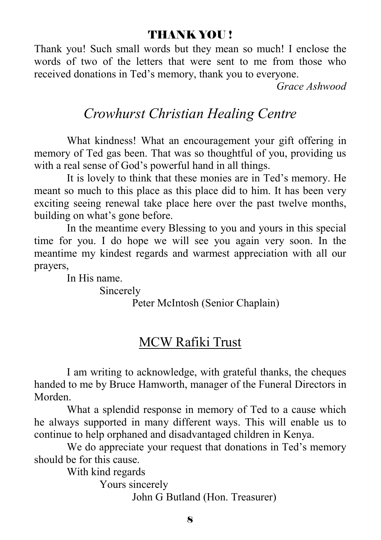#### THANK YOU!

Thank you! Such small words but they mean so much! I enclose the words of two of the letters that were sent to me from those who received donations in Ted's memory, thank you to everyone.

*Grace Ashwood* 

# *Crowhurst Christian Healing Centre*

 What kindness! What an encouragement your gift offering in memory of Ted gas been. That was so thoughtful of you, providing us with a real sense of God's powerful hand in all things.

 It is lovely to think that these monies are in Ted's memory. He meant so much to this place as this place did to him. It has been very exciting seeing renewal take place here over the past twelve months, building on what's gone before.

 In the meantime every Blessing to you and yours in this special time for you. I do hope we will see you again very soon. In the meantime my kindest regards and warmest appreciation with all our prayers,

In His name.

Sincerely

Peter McIntosh (Senior Chaplain)

### MCW Rafiki Trust

 I am writing to acknowledge, with grateful thanks, the cheques handed to me by Bruce Hamworth, manager of the Funeral Directors in Morden.

 What a splendid response in memory of Ted to a cause which he always supported in many different ways. This will enable us to continue to help orphaned and disadvantaged children in Kenya.

We do appreciate your request that donations in Ted's memory should be for this cause.

> With kind regards Yours sincerely John G Butland (Hon. Treasurer)

> > 8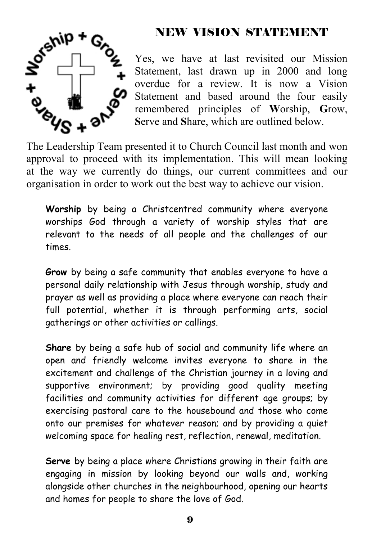

### NEW VISION STATEMENT

Yes, we have at last revisited our Mission Statement, last drawn up in 2000 and long overdue for a review. It is now a Vision Statement and based around the four easily remembered principles of **W**orship, **G**row, **S**erve and **S**hare, which are outlined below.

The Leadership Team presented it to Church Council last month and won approval to proceed with its implementation. This will mean looking at the way we currently do things, our current committees and our organisation in order to work out the best way to achieve our vision.

**Worship** by being a Christcentred community where everyone worships God through a variety of worship styles that are relevant to the needs of all people and the challenges of our times.

**Grow** by being a safe community that enables everyone to have a personal daily relationship with Jesus through worship, study and prayer as well as providing a place where everyone can reach their full potential, whether it is through performing arts, social gatherings or other activities or callings.

**Share** by being a safe hub of social and community life where an open and friendly welcome invites everyone to share in the excitement and challenge of the Christian journey in a loving and supportive environment; by providing good quality meeting facilities and community activities for different age groups; by exercising pastoral care to the housebound and those who come onto our premises for whatever reason; and by providing a quiet welcoming space for healing rest, reflection, renewal, meditation.

**Serve** by being a place where Christians growing in their faith are engaging in mission by looking beyond our walls and, working alongside other churches in the neighbourhood, opening our hearts and homes for people to share the love of God.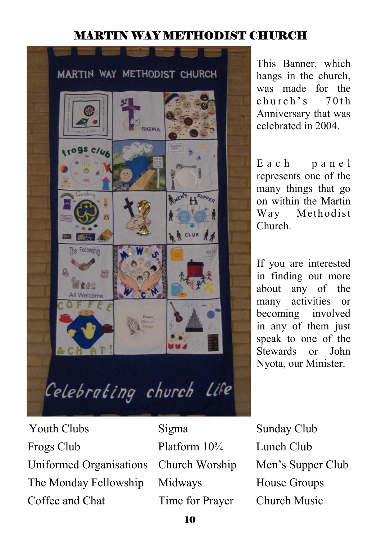#### MARTIN WAY METHODIST CHURCH



This Banner, which hangs in the church, was made for the  $church's$  70th Anniversary that was celebrated in 2004.

E a c h p a n e l represents one of the many things that go on within the Martin Way Methodist Church.

If you are interested in finding out more about any of the many activities or becoming involved in any of them just speak to one of the Stewards or John Nyota, our Minister.

Youth Clubs Sigma Sunday Club Frogs Club Platform  $10\frac{3}{4}$  Lunch Club Uniformed Organisations Church Worship Men's Supper Club The Monday Fellowship Midways House Groups Coffee and Chat Time for Prayer Church Music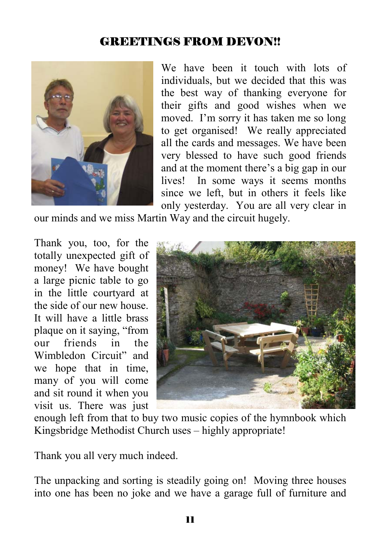### GREETINGS FROM DEVON!!



We have been it touch with lots of individuals, but we decided that this was the best way of thanking everyone for their gifts and good wishes when we moved. I'm sorry it has taken me so long to get organised! We really appreciated all the cards and messages. We have been very blessed to have such good friends and at the moment there's a big gap in our lives! In some ways it seems months since we left, but in others it feels like only yesterday. You are all very clear in

our minds and we miss Martin Way and the circuit hugely.

Thank you, too, for the totally unexpected gift of money! We have bought a large picnic table to go in the little courtyard at the side of our new house. It will have a little brass plaque on it saying, "from our friends in the Wimbledon Circuit" and we hope that in time, many of you will come and sit round it when you visit us. There was just



enough left from that to buy two music copies of the hymnbook which Kingsbridge Methodist Church uses – highly appropriate!

Thank you all very much indeed.

The unpacking and sorting is steadily going on! Moving three houses into one has been no joke and we have a garage full of furniture and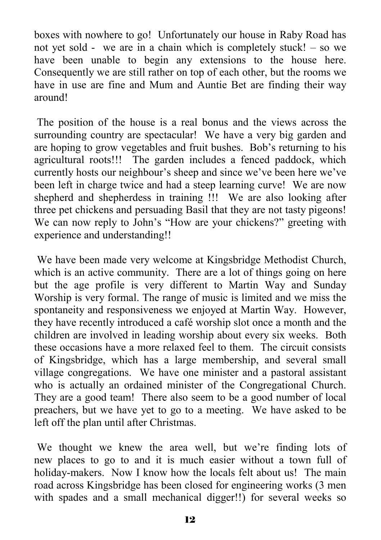boxes with nowhere to go! Unfortunately our house in Raby Road has not yet sold - we are in a chain which is completely stuck! – so we have been unable to begin any extensions to the house here. Consequently we are still rather on top of each other, but the rooms we have in use are fine and Mum and Auntie Bet are finding their way around!

 The position of the house is a real bonus and the views across the surrounding country are spectacular! We have a very big garden and are hoping to grow vegetables and fruit bushes. Bob's returning to his agricultural roots!!! The garden includes a fenced paddock, which currently hosts our neighbour's sheep and since we've been here we've been left in charge twice and had a steep learning curve! We are now shepherd and shepherdess in training !!! We are also looking after three pet chickens and persuading Basil that they are not tasty pigeons! We can now reply to John's "How are your chickens?" greeting with experience and understanding!!

 We have been made very welcome at Kingsbridge Methodist Church, which is an active community. There are a lot of things going on here but the age profile is very different to Martin Way and Sunday Worship is very formal. The range of music is limited and we miss the spontaneity and responsiveness we enjoyed at Martin Way. However, they have recently introduced a café worship slot once a month and the children are involved in leading worship about every six weeks. Both these occasions have a more relaxed feel to them. The circuit consists of Kingsbridge, which has a large membership, and several small village congregations. We have one minister and a pastoral assistant who is actually an ordained minister of the Congregational Church. They are a good team! There also seem to be a good number of local preachers, but we have yet to go to a meeting. We have asked to be left off the plan until after Christmas.

 We thought we knew the area well, but we're finding lots of new places to go to and it is much easier without a town full of holiday-makers. Now I know how the locals felt about us! The main road across Kingsbridge has been closed for engineering works (3 men with spades and a small mechanical digger!!) for several weeks so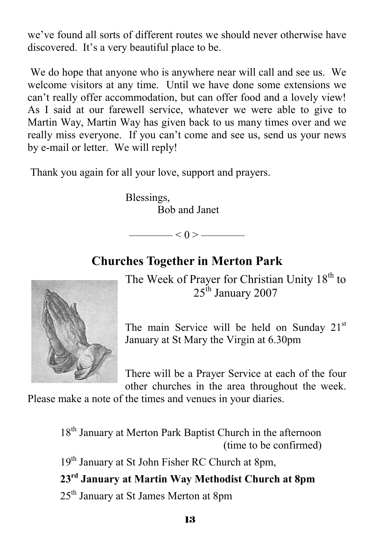we've found all sorts of different routes we should never otherwise have discovered. It's a very beautiful place to be.

 We do hope that anyone who is anywhere near will call and see us. We welcome visitors at any time. Until we have done some extensions we can't really offer accommodation, but can offer food and a lovely view! As I said at our farewell service, whatever we were able to give to Martin Way, Martin Way has given back to us many times over and we really miss everyone. If you can't come and see us, send us your news by e-mail or letter. We will reply!

Thank you again for all your love, support and prayers.

 Blessings, Bob and Janet

**Churches Together in Merton Park**

 $< 0 > \underline{\hspace{2cm}}$ 

The Week of Prayer for Christian Unity 18<sup>th</sup> to  $25<sup>th</sup>$  January 2007

The main Service will be held on Sunday  $21<sup>st</sup>$ January at St Mary the Virgin at 6.30pm

There will be a Prayer Service at each of the four other churches in the area throughout the week.

Please make a note of the times and venues in your diaries.

18<sup>th</sup> January at Merton Park Baptist Church in the afternoon (time to be confirmed)

19<sup>th</sup> January at St John Fisher RC Church at 8pm,

 **23rd January at Martin Way Methodist Church at 8pm** 

25th January at St James Merton at 8pm

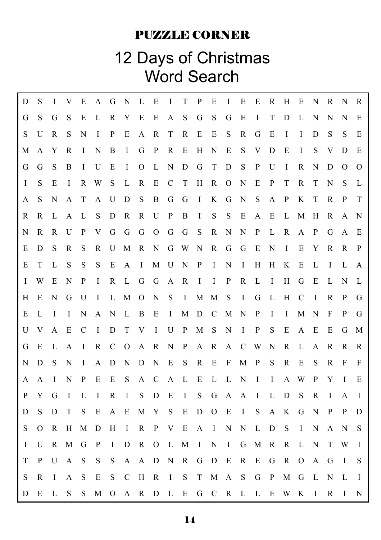#### PUZZLE CORNER

# 12 Days of Christmas Word Search

| D            | S | Ι        | V         | E         | A           | G                     | N             | L           | E             | Ι.            | T            | P           | E             | I            | E             | E            | R            | H           | E             | N        | R         | N            | R                         |
|--------------|---|----------|-----------|-----------|-------------|-----------------------|---------------|-------------|---------------|---------------|--------------|-------------|---------------|--------------|---------------|--------------|--------------|-------------|---------------|----------|-----------|--------------|---------------------------|
| G            | S | G        | S         | E         | L           | R                     | Y             | E           | Ε             | A             | ${\bf S}$    | G           | ${\bf S}$     | G            | Ε             | $\bf{I}$     | $\mathbf T$  | D           | L             | N        | N         | N            | E                         |
| S            | U | R        | S         | N         | I           | P                     | E             | A           | R             | T             | R            | E           | E             | ${\bf S}$    | R             | G            | E            | $\bf{I}$    | $\bf{I}$      | D        | ${\bf S}$ | S            | E                         |
| М            | A | Y        | R         | Ι         | N           | B                     | $\bf{I}$      | G           | P             | R             | E            | H           | N             | E            | S             | V            | D            | E           | $\bf{I}$      | S        | V         | D            | E                         |
| G            | G | S        | B         | Ι         | U           | E                     | $\bf{I}$      | $\Omega$    | L             | N             | D            | G           | T             | D            | S             | $\mathbf{P}$ | U            | $\bf{I}$    | R             | N        | D         | О            | $\Omega$                  |
| I            | S | E        | Ι.        | R         | W           | S                     | L             | R           | Ε             | $\mathcal{C}$ | T            | H           | R             | $\mathbf{O}$ | N             | E            | P            | T           | R             | T        | N         | S            | L                         |
| A            | S | N        | A         | T         | A           | U                     | D             | S           | B             | G             | G            | I           | K             | G            | N             | S            | $\mathbf{A}$ | P           | K             | T        | R         | P            | $\ensuremath{\mathrm{T}}$ |
| R            | R | L        | A         | L         | S           | D                     | R             | R           | U             | P             | B            | I           | S             | S            | E             | A            | E            | L           | M             | Н        | R         | A            | N                         |
| N            | R | R        | U         | P         | V           | G                     | G             | G           | O             | G             | G            | S           | R             | N            | N             | P            | L            | R           | A             | P        | G         | A            | E                         |
| Е            | D | S        | R         | S         | R           | U                     | М             | R           | N             | G             | W            | N           | R             | G            | G             | E            | N            | $\bf{I}$    | E             | Y        | R         | R            | $\mathbf{P}$              |
| E            | T | L        | S         | S         | S           | Ε                     | A             | $\mathbf I$ | M             | U             | N            | P           | $\mathbf I$   | N            | $\bf{I}$      | H            | H            | K           | E             | L        | I         | L            | A                         |
| I            | W | Е        | N         | P         | Ι           | R                     | L             | G           | G             | A             | R            | Ι.          | Ι.            | P            | R             | L            | $\mathbf I$  | Η           | G             | E        | L         | N            | L                         |
| Н            | E | N        | G         | U         | I           | L                     | M             | $\Omega$    | N             | S             | $\bf{I}$     | M           | M             | S            | $\bf{I}$      | G            | L            | H           | $\mathcal{C}$ | Ι        | R         | P            | G                         |
| E            | L | $\bf{I}$ | Ι.        | N         | A           | N                     | L             | B           | E             | Ι             | M            | D           | C             | M            | N             | P            | $\bf{I}$     | $\mathbf I$ | M             | N        | F         | P            | G                         |
| U            | V | A        | E         | C         | $\mathbf I$ | D                     | T             | V           | $\mathbf I$   | U             | $\, {\bf p}$ | $\mathbf M$ | ${\bf S}$     | $\mathbf N$  | $\mathbf I$   | $\mathbf{P}$ | ${\bf S}$    | E           | A             | E        | E         | G            | M                         |
| G            | E | L        | A         | $\bf I$   | R           | $\mathcal{C}$         | $\mathcal{O}$ | A           | R             | N             | P            | A           | R             | A            | $\mathcal{C}$ | W            | N            | R           | L             | A        | R         | R            | R                         |
| N            | D | S        | N         | Ι         | A           | D                     | N             | D           | N             | E             | S            | R           | $\mathbf E$   | F            | M             | P            | ${\bf S}$    | R           | E             | S        | R         | F            | F                         |
| A            | A | I        | N         | P         | E           | E                     | S             | A           | $\mathcal{C}$ | A             | L            | Е           | L             | L            | N             | $\bf{I}$     | $\bf{I}$     | A           | W             | P        | Y         | $\mathbf{I}$ | E                         |
| $\mathbf{P}$ | Y | G        | Ι         | L         | I           | R                     | $\bf{I}$      | ${\bf S}$   | D             | E             | $\bf{I}$     | S           | G             | A            | A             | $\mathbf I$  | L            | D           | S             | R        | Ι         | A            | I                         |
| D            | S | D        | T         | S         | E           | $\boldsymbol{\rm{A}}$ | E             | M           | Y             | S             | Е            | D           | 0             | E            | $\bf{I}$      | S            | A            | K           | G             | N        | P         | P            | D                         |
| S            | O | R        | Н         | M         | D           | H                     | $\bf{I}$      | R           | $\, {\bf P}$  | V             | E            | A           | $\mathbf{I}$  | N            | N             | L            | D            | $\mathbf S$ | $\mathbf I$   | N        | A         | N            | $\mathbf S$               |
| Ι.           | U | R        | M         | G         | P           | Ι.                    | D             | R           | O             | L             | M            | Ι.          | N             | Ι.           | G             | M            | R            | R           | L             | N        | T         | W            | I                         |
| T            | P | U        | A         | S         | S           | S                     | A             | A           | D             | N             | R            | G           | D             | E            | R             | E            | G            | R           | 0             | A        | G         | $\bf{I}$     | S                         |
| S            | R | I        | A         | S         | E           | S                     | C             | Н           | R             | Ι             | S            | T           | M             | A            | S             | G            | P            | M           | G             | L        | N         | L            | $\bf{I}$                  |
| D            | E | L        | ${\bf S}$ | ${\bf S}$ | M           | $\Omega$              | $\mathbf{A}$  | R D         |               | L             | E            | G           | $\mathcal{C}$ | $\mathbf R$  | $\mathbf{L}$  | $\mathbf{L}$ |              | E W K       |               | $\bf{I}$ | R         | $\mathbf{I}$ | N                         |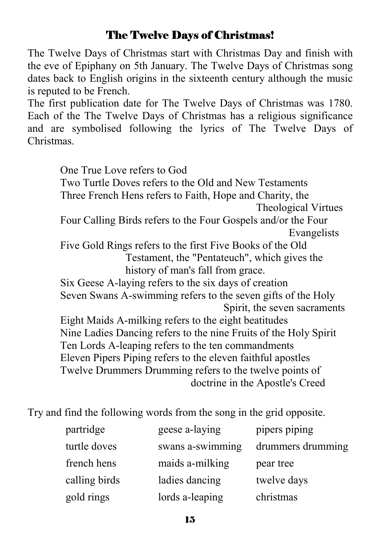### The Twelve Days of Christmas!

The Twelve Days of Christmas start with Christmas Day and finish with the eve of Epiphany on 5th January. The Twelve Days of Christmas song dates back to English origins in the sixteenth century although the music is reputed to be French.

The first publication date for The Twelve Days of Christmas was 1780. Each of the The Twelve Days of Christmas has a religious significance and are symbolised following the lyrics of The Twelve Days of Christmas.

 One True Love refers to God Two Turtle Doves refers to the Old and New Testaments Three French Hens refers to Faith, Hope and Charity, the Theological Virtues Four Calling Birds refers to the Four Gospels and/or the Four Evangelists Five Gold Rings refers to the first Five Books of the Old Testament, the "Pentateuch", which gives the history of man's fall from grace. Six Geese A-laying refers to the six days of creation Seven Swans A-swimming refers to the seven gifts of the Holy Spirit, the seven sacraments Eight Maids A-milking refers to the eight beatitudes Nine Ladies Dancing refers to the nine Fruits of the Holy Spirit Ten Lords A-leaping refers to the ten commandments Eleven Pipers Piping refers to the eleven faithful apostles Twelve Drummers Drumming refers to the twelve points of doctrine in the Apostle's Creed

Try and find the following words from the song in the grid opposite.

| partridge     | geese a-laying   | pipers piping     |
|---------------|------------------|-------------------|
| turtle doves  | swans a-swimming | drummers drumming |
| french hens   | maids a-milking  | pear tree         |
| calling birds | ladies dancing   | twelve days       |
| gold rings    | lords a-leaping  | christmas         |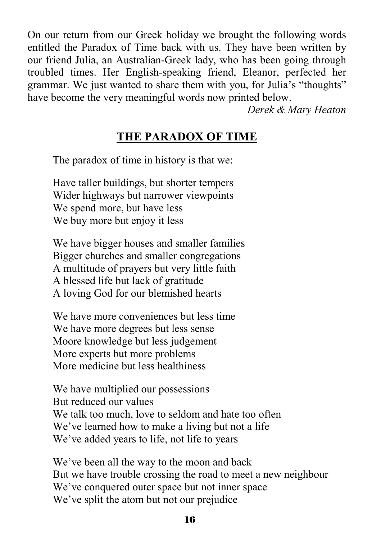On our return from our Greek holiday we brought the following words entitled the Paradox of Time back with us. They have been written by our friend Julia, an Australian-Greek lady, who has been going through troubled times. Her English-speaking friend, Eleanor, perfected her grammar. We just wanted to share them with you, for Julia's "thoughts" have become the very meaningful words now printed below.

*Derek & Mary Heaton* 

#### **THE PARADOX OF TIME**

The paradox of time in history is that we:

Have taller buildings, but shorter tempers Wider highways but narrower viewpoints We spend more, but have less We buy more but enjoy it less

We have bigger houses and smaller families Bigger churches and smaller congregations A multitude of prayers but very little faith A blessed life but lack of gratitude A loving God for our blemished hearts

We have more conveniences but less time We have more degrees but less sense Moore knowledge but less judgement More experts but more problems More medicine but less healthiness

We have multiplied our possessions But reduced our values We talk too much, love to seldom and hate too often We've learned how to make a living but not a life We've added years to life, not life to years

We've been all the way to the moon and back But we have trouble crossing the road to meet a new neighbour We've conquered outer space but not inner space We've split the atom but not our prejudice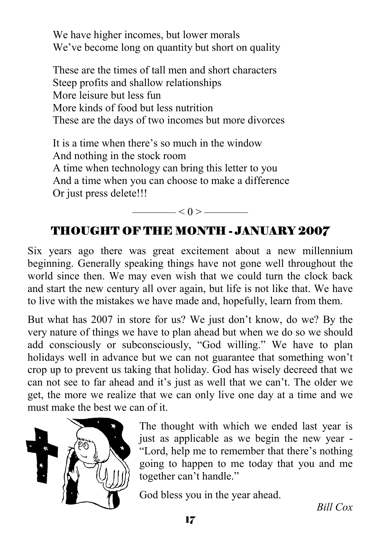We have higher incomes, but lower morals We've become long on quantity but short on quality

These are the times of tall men and short characters Steep profits and shallow relationships More leisure but less fun More kinds of food but less nutrition These are the days of two incomes but more divorces

It is a time when there's so much in the window And nothing in the stock room A time when technology can bring this letter to you And a time when you can choose to make a difference Or just press delete!!!

### THOUGHT OF THE MONTH - JANUARY 2007

—— $<$  0 > ——

Six years ago there was great excitement about a new millennium beginning. Generally speaking things have not gone well throughout the world since then. We may even wish that we could turn the clock back and start the new century all over again, but life is not like that. We have to live with the mistakes we have made and, hopefully, learn from them.

But what has 2007 in store for us? We just don't know, do we? By the very nature of things we have to plan ahead but when we do so we should add consciously or subconsciously, "God willing." We have to plan holidays well in advance but we can not guarantee that something won't crop up to prevent us taking that holiday. God has wisely decreed that we can not see to far ahead and it's just as well that we can't. The older we get, the more we realize that we can only live one day at a time and we must make the best we can of it.



The thought with which we ended last year is just as applicable as we begin the new year - "Lord, help me to remember that there's nothing going to happen to me today that you and me together can't handle."

God bless you in the year ahead.

*Bill Cox*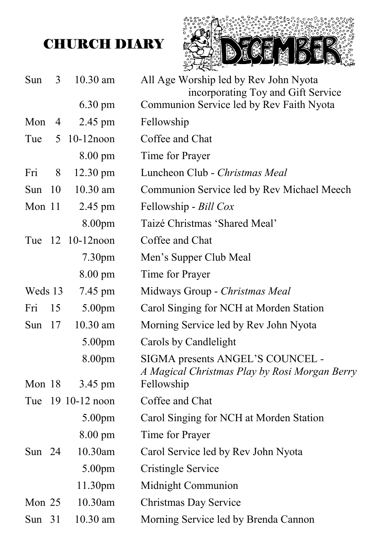



| Sun      | 3              | 10.30 am           | All Age Worship led by Rev John Nyota<br>incorporating Toy and Gift Service       |
|----------|----------------|--------------------|-----------------------------------------------------------------------------------|
|          |                | $6.30 \text{ pm}$  | Communion Service led by Rev Faith Nyota                                          |
| Mon      | $\overline{4}$ | 2.45 pm            | Fellowship                                                                        |
| Tue      | 5              | $10-12$ noon       | Coffee and Chat                                                                   |
|          |                | $8.00 \text{ pm}$  | Time for Prayer                                                                   |
| Fri      | 8              | $12.30 \text{ pm}$ | Luncheon Club - Christmas Meal                                                    |
| Sun      | 10             | 10.30 am           | Communion Service led by Rev Michael Meech                                        |
| Mon 11   |                | 2.45 pm            | Fellowship - Bill Cox                                                             |
|          |                | 8.00pm             | Taizé Christmas 'Shared Meal'                                                     |
|          |                | Tue 12 10-12 noon  | Coffee and Chat                                                                   |
|          |                | 7.30 <sub>pm</sub> | Men's Supper Club Meal                                                            |
|          |                | $8.00 \text{ pm}$  | Time for Prayer                                                                   |
| Weds 13  |                | 7.45 pm            | Midways Group - Christmas Meal                                                    |
| Fri      | 15             | 5.00pm             | Carol Singing for NCH at Morden Station                                           |
| Sun      | 17             | 10.30 am           | Morning Service led by Rev John Nyota                                             |
|          |                | 5.00pm             | Carols by Candlelight                                                             |
|          |                | 8.00pm             | SIGMA presents ANGEL'S COUNCEL -<br>A Magical Christmas Play by Rosi Morgan Berry |
| Mon 18   |                | 3.45 pm            | Fellowship                                                                        |
|          |                | Tue 19 10-12 noon  | Coffee and Chat                                                                   |
|          |                | 5.00pm             | Carol Singing for NCH at Morden Station                                           |
|          |                | 8.00 pm            | Time for Prayer                                                                   |
| Sun 24   |                | 10.30am            | Carol Service led by Rev John Nyota                                               |
|          |                | 5.00pm             | Cristingle Service                                                                |
|          |                | 11.30pm            | Midnight Communion                                                                |
| Mon 25   |                | 10.30am            | Christmas Day Service                                                             |
| Sun $31$ |                | 10.30 am           | Morning Service led by Brenda Cannon                                              |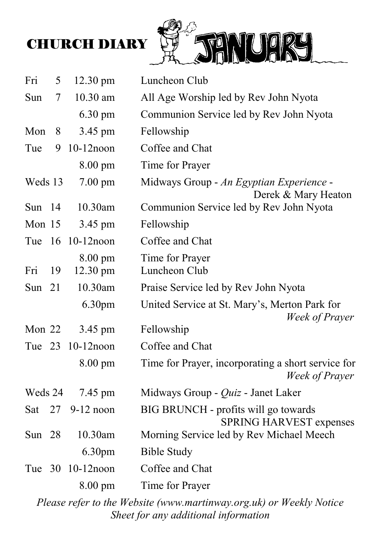



| Fri      | 5      | $12.30 \text{ pm}$  | Luncheon Club                                                          |
|----------|--------|---------------------|------------------------------------------------------------------------|
| Sun      | $\tau$ | 10.30 am            | All Age Worship led by Rev John Nyota                                  |
|          |        | $6.30 \text{ pm}$   | Communion Service led by Rev John Nyota                                |
| Mon      | 8      | 3.45 pm             | Fellowship                                                             |
| Tue      | 9      | $10-12$ noon        | Coffee and Chat                                                        |
|          |        | 8.00 pm             | Time for Prayer                                                        |
| Weds 13  |        | $7.00 \text{ pm}$   | Midways Group - An Egyptian Experience -<br>Derek & Mary Heaton        |
| Sun $14$ |        | 10.30am             | Communion Service led by Rev John Nyota                                |
| Mon 15   |        | 3.45 pm             | Fellowship                                                             |
|          |        | Tue 16 10-12 noon   | Coffee and Chat                                                        |
| Fri      | 19     | 8.00 pm<br>12.30 pm | Time for Prayer<br>Luncheon Club                                       |
| Sun $21$ |        | 10.30am             | Praise Service led by Rev John Nyota                                   |
|          |        | 6.30 <sub>pm</sub>  | United Service at St. Mary's, Merton Park for<br>Week of Prayer        |
| Mon $22$ |        | 3.45 pm             | Fellowship                                                             |
| Tue 23   |        | $10-12$ noon        | Coffee and Chat                                                        |
|          |        | 8.00 pm             | Time for Prayer, incorporating a short service for<br>Week of Prayer   |
| Weds 24  |        | 7.45 pm             | Midways Group - <i>Quiz</i> - Janet Laker                              |
| Sat      | 27     | 9-12 noon           | BIG BRUNCH - profits will go towards<br><b>SPRING HARVEST expenses</b> |
| Sun 28   |        | 10.30am             | Morning Service led by Rev Michael Meech                               |
|          |        | 6.30pm              | <b>Bible Study</b>                                                     |
|          |        | Tue 30 10-12noon    | Coffee and Chat                                                        |
|          |        | $8.00 \text{ pm}$   | Time for Prayer                                                        |

19 *Sheet for any additional information Please refer to the Website (www.martinway.org.uk) or Weekly Notice*